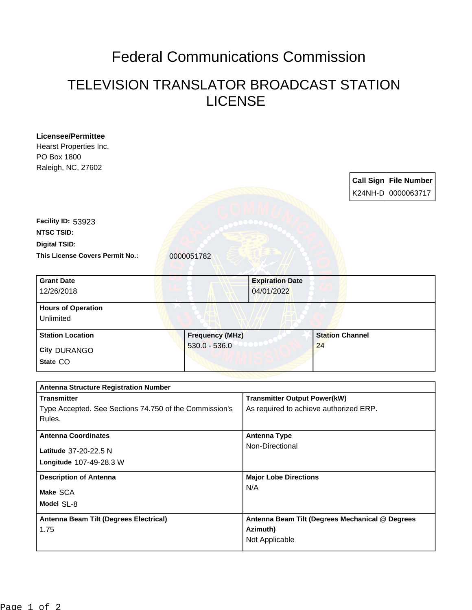## Federal Communications Commission

## TELEVISION TRANSLATOR BROADCAST STATION LICENSE

| <b>Licensee/Permittee</b>                              |  |                        |                                                                               |                        |  |                              |
|--------------------------------------------------------|--|------------------------|-------------------------------------------------------------------------------|------------------------|--|------------------------------|
| Hearst Properties Inc.                                 |  |                        |                                                                               |                        |  |                              |
| PO Box 1800                                            |  |                        |                                                                               |                        |  |                              |
| Raleigh, NC, 27602                                     |  |                        |                                                                               |                        |  |                              |
|                                                        |  |                        |                                                                               |                        |  | <b>Call Sign File Number</b> |
|                                                        |  |                        |                                                                               |                        |  |                              |
|                                                        |  |                        |                                                                               |                        |  | K24NH-D 0000063717           |
|                                                        |  |                        |                                                                               |                        |  |                              |
| Facility ID: 53923                                     |  |                        |                                                                               |                        |  |                              |
| <b>NTSC TSID:</b>                                      |  |                        |                                                                               |                        |  |                              |
| <b>Digital TSID:</b>                                   |  |                        |                                                                               |                        |  |                              |
| This License Covers Permit No.:                        |  | 0000051782             |                                                                               |                        |  |                              |
|                                                        |  |                        |                                                                               |                        |  |                              |
| <b>Grant Date</b>                                      |  |                        | <b>Expiration Date</b>                                                        |                        |  |                              |
| 12/26/2018                                             |  |                        | 04/01/2022                                                                    |                        |  |                              |
|                                                        |  |                        |                                                                               |                        |  |                              |
| <b>Hours of Operation</b>                              |  |                        |                                                                               |                        |  |                              |
| Unlimited                                              |  |                        |                                                                               |                        |  |                              |
| <b>Station Location</b>                                |  | <b>Frequency (MHz)</b> |                                                                               | <b>Station Channel</b> |  |                              |
| <b>City DURANGO</b>                                    |  | $530.0 - 536.0$        |                                                                               | 24                     |  |                              |
| State CO                                               |  |                        |                                                                               |                        |  |                              |
|                                                        |  |                        |                                                                               |                        |  |                              |
|                                                        |  |                        |                                                                               |                        |  |                              |
| <b>Antenna Structure Registration Number</b>           |  |                        |                                                                               |                        |  |                              |
| <b>Transmitter</b>                                     |  |                        | <b>Transmitter Output Power(kW)</b><br>As required to achieve authorized ERP. |                        |  |                              |
| Type Accepted. See Sections 74.750 of the Commission's |  |                        |                                                                               |                        |  |                              |
| Rules.                                                 |  |                        |                                                                               |                        |  |                              |
| <b>Antenna Coordinates</b>                             |  |                        | <b>Antenna Type</b>                                                           |                        |  |                              |
| Latitude 37-20-22.5 N                                  |  |                        | Non-Directional                                                               |                        |  |                              |
| Longitude 107-49-28.3 W                                |  |                        |                                                                               |                        |  |                              |
|                                                        |  |                        |                                                                               |                        |  |                              |
| <b>Description of Antenna</b>                          |  |                        | <b>Major Lobe Directions</b>                                                  |                        |  |                              |
| Make SCA                                               |  |                        | N/A                                                                           |                        |  |                              |
| Model SL-8                                             |  |                        |                                                                               |                        |  |                              |
| Antenna Beam Tilt (Degrees Electrical)                 |  |                        |                                                                               |                        |  |                              |
| 1.75                                                   |  |                        | Antenna Beam Tilt (Degrees Mechanical @ Degrees<br>Azimuth)<br>Not Applicable |                        |  |                              |
|                                                        |  |                        |                                                                               |                        |  |                              |